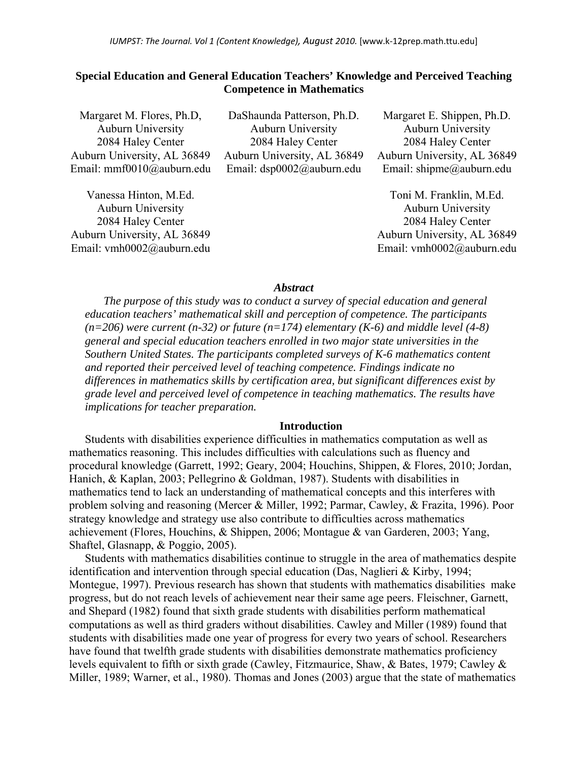# **Special Education and General Education Teachers' Knowledge and Perceived Teaching Competence in Mathematics**

| Margaret M. Flores, Ph.D.   | DaShaunda Patterson, Ph.D.  | Margaret E. Shippen, Ph.D.  |
|-----------------------------|-----------------------------|-----------------------------|
| <b>Auburn University</b>    | <b>Auburn University</b>    | <b>Auburn University</b>    |
| 2084 Haley Center           | 2084 Haley Center           | 2084 Haley Center           |
| Auburn University, AL 36849 | Auburn University, AL 36849 | Auburn University, AL 36849 |
| Email: mmf0010@auburn.edu   | Email: dsp0002@auburn.edu   | Email: shipme@auburn.edu    |
| Vanessa Hinton, M.Ed.       |                             | Toni M. Franklin, M.Ed.     |
| <b>Auburn University</b>    |                             | <b>Auburn University</b>    |

2084 Haley Center Auburn University, AL 36849 Email: vmh0002@auburn.edu

Auburn University 2084 Haley Center Auburn University, AL 36849 Email: vmh0002@auburn.edu

## *Abstract*

*The purpose of this study was to conduct a survey of special education and general education teachers' mathematical skill and perception of competence. The participants*   $(n=206)$  were current  $(n=32)$  or future  $(n=174)$  elementary  $(K=6)$  and middle level  $(4-8)$ *general and special education teachers enrolled in two major state universities in the Southern United States. The participants completed surveys of K-6 mathematics content and reported their perceived level of teaching competence. Findings indicate no differences in mathematics skills by certification area, but significant differences exist by grade level and perceived level of competence in teaching mathematics. The results have implications for teacher preparation.* 

#### **Introduction**

Students with disabilities experience difficulties in mathematics computation as well as mathematics reasoning. This includes difficulties with calculations such as fluency and procedural knowledge (Garrett, 1992; Geary, 2004; Houchins, Shippen, & Flores, 2010; Jordan, Hanich, & Kaplan, 2003; Pellegrino & Goldman, 1987). Students with disabilities in mathematics tend to lack an understanding of mathematical concepts and this interferes with problem solving and reasoning (Mercer & Miller, 1992; Parmar, Cawley, & Frazita, 1996). Poor strategy knowledge and strategy use also contribute to difficulties across mathematics achievement (Flores, Houchins, & Shippen, 2006; Montague & van Garderen, 2003; Yang, Shaftel, Glasnapp, & Poggio, 2005).

Students with mathematics disabilities continue to struggle in the area of mathematics despite identification and intervention through special education (Das, Naglieri & Kirby, 1994; Montegue, 1997). Previous research has shown that students with mathematics disabilities make progress, but do not reach levels of achievement near their same age peers. Fleischner, Garnett, and Shepard (1982) found that sixth grade students with disabilities perform mathematical computations as well as third graders without disabilities. Cawley and Miller (1989) found that students with disabilities made one year of progress for every two years of school. Researchers have found that twelfth grade students with disabilities demonstrate mathematics proficiency levels equivalent to fifth or sixth grade (Cawley, Fitzmaurice, Shaw, & Bates, 1979; Cawley & Miller, 1989; Warner, et al., 1980). Thomas and Jones (2003) argue that the state of mathematics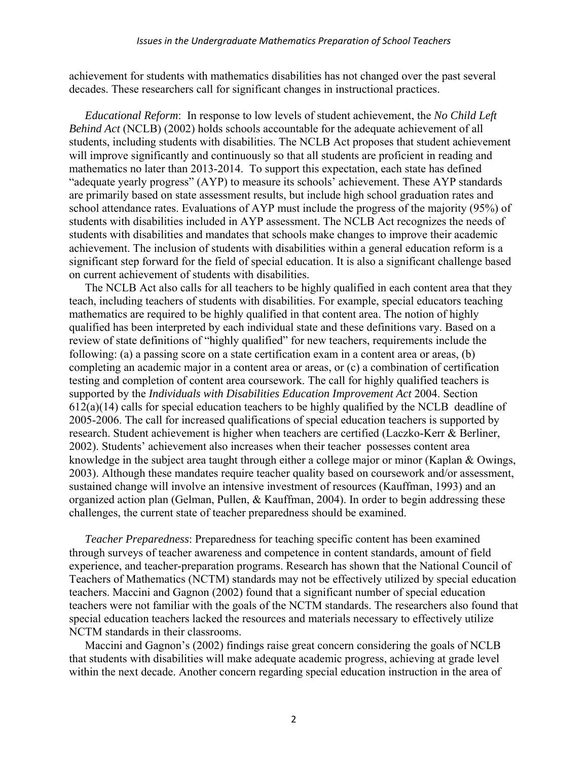achievement for students with mathematics disabilities has not changed over the past several decades. These researchers call for significant changes in instructional practices.

*Educational Reform*: In response to low levels of student achievement, the *No Child Left Behind Act* (NCLB) (2002) holds schools accountable for the adequate achievement of all students, including students with disabilities. The NCLB Act proposes that student achievement will improve significantly and continuously so that all students are proficient in reading and mathematics no later than 2013-2014. To support this expectation, each state has defined "adequate yearly progress" (AYP) to measure its schools' achievement. These AYP standards are primarily based on state assessment results, but include high school graduation rates and school attendance rates. Evaluations of AYP must include the progress of the majority (95%) of students with disabilities included in AYP assessment. The NCLB Act recognizes the needs of students with disabilities and mandates that schools make changes to improve their academic achievement. The inclusion of students with disabilities within a general education reform is a significant step forward for the field of special education. It is also a significant challenge based on current achievement of students with disabilities.

The NCLB Act also calls for all teachers to be highly qualified in each content area that they teach, including teachers of students with disabilities. For example, special educators teaching mathematics are required to be highly qualified in that content area. The notion of highly qualified has been interpreted by each individual state and these definitions vary. Based on a review of state definitions of "highly qualified" for new teachers, requirements include the following: (a) a passing score on a state certification exam in a content area or areas, (b) completing an academic major in a content area or areas, or (c) a combination of certification testing and completion of content area coursework. The call for highly qualified teachers is supported by the *Individuals with Disabilities Education Improvement Act* 2004. Section 612(a)(14) calls for special education teachers to be highly qualified by the NCLB deadline of 2005-2006. The call for increased qualifications of special education teachers is supported by research. Student achievement is higher when teachers are certified (Laczko-Kerr & Berliner, 2002). Students' achievement also increases when their teacher possesses content area knowledge in the subject area taught through either a college major or minor (Kaplan & Owings, 2003). Although these mandates require teacher quality based on coursework and/or assessment, sustained change will involve an intensive investment of resources (Kauffman, 1993) and an organized action plan (Gelman, Pullen, & Kauffman, 2004). In order to begin addressing these challenges, the current state of teacher preparedness should be examined.

*Teacher Preparedness*: Preparedness for teaching specific content has been examined through surveys of teacher awareness and competence in content standards, amount of field experience, and teacher-preparation programs. Research has shown that the National Council of Teachers of Mathematics (NCTM) standards may not be effectively utilized by special education teachers. Maccini and Gagnon (2002) found that a significant number of special education teachers were not familiar with the goals of the NCTM standards. The researchers also found that special education teachers lacked the resources and materials necessary to effectively utilize NCTM standards in their classrooms.

Maccini and Gagnon's (2002) findings raise great concern considering the goals of NCLB that students with disabilities will make adequate academic progress, achieving at grade level within the next decade. Another concern regarding special education instruction in the area of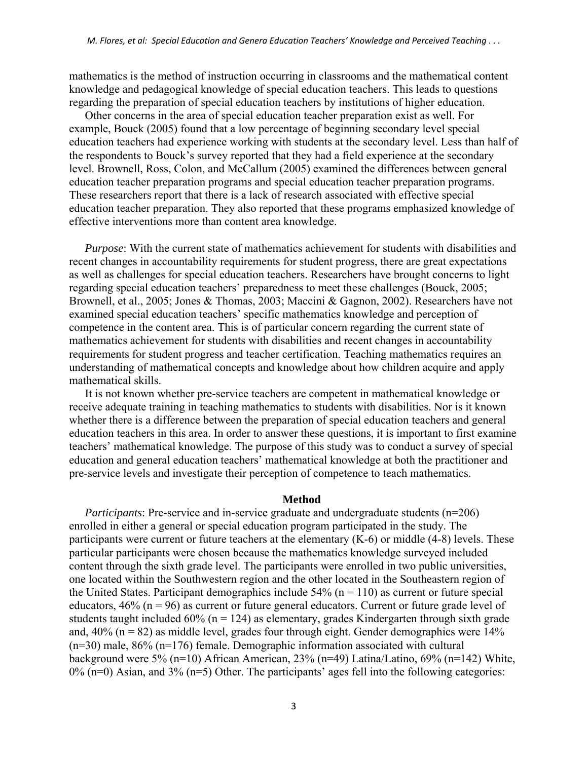mathematics is the method of instruction occurring in classrooms and the mathematical content knowledge and pedagogical knowledge of special education teachers. This leads to questions regarding the preparation of special education teachers by institutions of higher education.

Other concerns in the area of special education teacher preparation exist as well. For example, Bouck (2005) found that a low percentage of beginning secondary level special education teachers had experience working with students at the secondary level. Less than half of the respondents to Bouck's survey reported that they had a field experience at the secondary level. Brownell, Ross, Colon, and McCallum (2005) examined the differences between general education teacher preparation programs and special education teacher preparation programs. These researchers report that there is a lack of research associated with effective special education teacher preparation. They also reported that these programs emphasized knowledge of effective interventions more than content area knowledge.

*Purpose*: With the current state of mathematics achievement for students with disabilities and recent changes in accountability requirements for student progress, there are great expectations as well as challenges for special education teachers. Researchers have brought concerns to light regarding special education teachers' preparedness to meet these challenges (Bouck, 2005; Brownell, et al., 2005; Jones & Thomas, 2003; Maccini & Gagnon, 2002). Researchers have not examined special education teachers' specific mathematics knowledge and perception of competence in the content area. This is of particular concern regarding the current state of mathematics achievement for students with disabilities and recent changes in accountability requirements for student progress and teacher certification. Teaching mathematics requires an understanding of mathematical concepts and knowledge about how children acquire and apply mathematical skills.

It is not known whether pre-service teachers are competent in mathematical knowledge or receive adequate training in teaching mathematics to students with disabilities. Nor is it known whether there is a difference between the preparation of special education teachers and general education teachers in this area. In order to answer these questions, it is important to first examine teachers' mathematical knowledge. The purpose of this study was to conduct a survey of special education and general education teachers' mathematical knowledge at both the practitioner and pre-service levels and investigate their perception of competence to teach mathematics.

#### **Method**

*Participants*: Pre-service and in-service graduate and undergraduate students (n=206) enrolled in either a general or special education program participated in the study. The participants were current or future teachers at the elementary (K-6) or middle (4-8) levels. These particular participants were chosen because the mathematics knowledge surveyed included content through the sixth grade level. The participants were enrolled in two public universities, one located within the Southwestern region and the other located in the Southeastern region of the United States. Participant demographics include  $54\%$  (n = 110) as current or future special educators,  $46\%$  (n = 96) as current or future general educators. Current or future grade level of students taught included  $60\%$  (n = 124) as elementary, grades Kindergarten through sixth grade and,  $40\%$  (n = 82) as middle level, grades four through eight. Gender demographics were 14%  $(n=30)$  male,  $86\%$   $(n=176)$  female. Demographic information associated with cultural background were 5% (n=10) African American, 23% (n=49) Latina/Latino, 69% (n=142) White,  $0\%$  (n=0) Asian, and  $3\%$  (n=5) Other. The participants' ages fell into the following categories: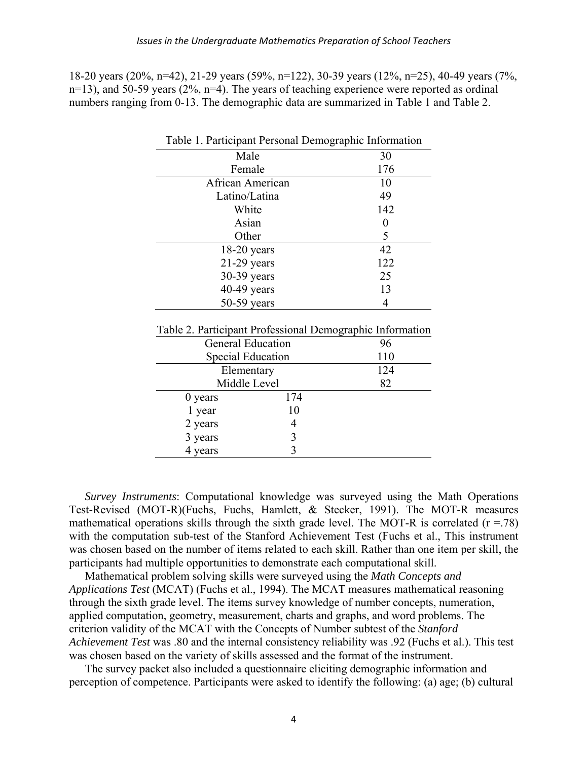18-20 years (20%, n=42), 21-29 years (59%, n=122), 30-39 years (12%, n=25), 40-49 years (7%, n=13), and 50-59 years (2%, n=4). The years of teaching experience were reported as ordinal numbers ranging from 0-13. The demographic data are summarized in Table 1 and Table 2.

|                                                           |     | Table 1. Participant Personal Demographic Information |
|-----------------------------------------------------------|-----|-------------------------------------------------------|
| Male                                                      |     | 30                                                    |
| Female                                                    |     | 176                                                   |
| African American                                          |     | 10                                                    |
| Latino/Latina                                             |     | 49                                                    |
| White                                                     |     | 142                                                   |
| Asian                                                     |     | 0                                                     |
| Other                                                     |     | 5                                                     |
| 18-20 years                                               |     | 42                                                    |
| $21-29$ years                                             |     | 122                                                   |
| 30-39 years                                               |     | 25                                                    |
| $40-49$ years                                             |     | 13                                                    |
| 50-59 years                                               |     | 4                                                     |
|                                                           |     |                                                       |
| Table 2. Participant Professional Demographic Information |     |                                                       |
| <b>General Education</b>                                  |     | 96                                                    |
| <b>Special Education</b>                                  |     | 110                                                   |
| Elementary                                                |     | 124                                                   |
| Middle Level                                              |     | 82                                                    |
| 0 years                                                   | 174 |                                                       |
| 1 year                                                    | 10  |                                                       |
| 2 years                                                   | 4   |                                                       |
| 3 years                                                   | 3   |                                                       |

*Survey Instruments*: Computational knowledge was surveyed using the Math Operations Test-Revised (MOT-R)(Fuchs, Fuchs, Hamlett, & Stecker, 1991). The MOT-R measures mathematical operations skills through the sixth grade level. The MOT-R is correlated  $(r = .78)$ with the computation sub-test of the Stanford Achievement Test (Fuchs et al., This instrument was chosen based on the number of items related to each skill. Rather than one item per skill, the participants had multiple opportunities to demonstrate each computational skill.

3

4 years

Mathematical problem solving skills were surveyed using the *Math Concepts and Applications Test* (MCAT) (Fuchs et al., 1994). The MCAT measures mathematical reasoning through the sixth grade level. The items survey knowledge of number concepts, numeration, applied computation, geometry, measurement, charts and graphs, and word problems. The criterion validity of the MCAT with the Concepts of Number subtest of the *Stanford Achievement Test* was .80 and the internal consistency reliability was .92 (Fuchs et al.). This test was chosen based on the variety of skills assessed and the format of the instrument.

The survey packet also included a questionnaire eliciting demographic information and perception of competence. Participants were asked to identify the following: (a) age; (b) cultural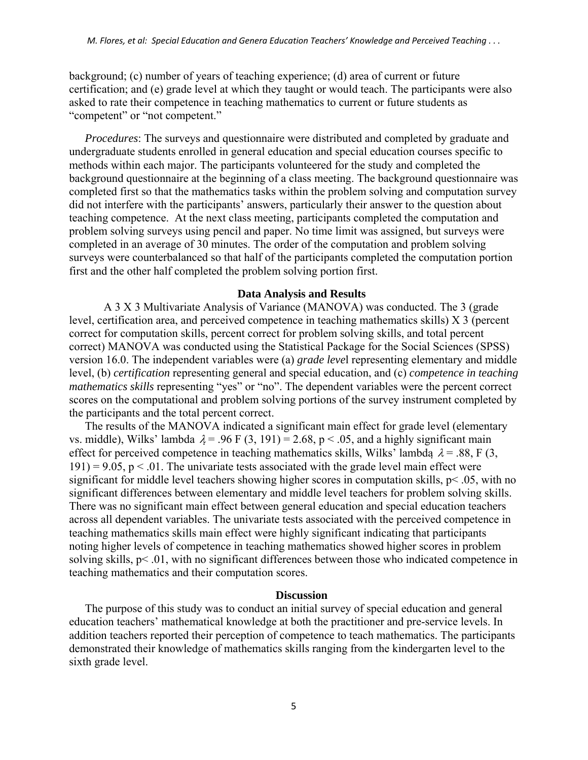background; (c) number of years of teaching experience; (d) area of current or future certification; and (e) grade level at which they taught or would teach. The participants were also asked to rate their competence in teaching mathematics to current or future students as "competent" or "not competent."

*Procedures*: The surveys and questionnaire were distributed and completed by graduate and undergraduate students enrolled in general education and special education courses specific to methods within each major. The participants volunteered for the study and completed the background questionnaire at the beginning of a class meeting. The background questionnaire was completed first so that the mathematics tasks within the problem solving and computation survey did not interfere with the participants' answers, particularly their answer to the question about teaching competence. At the next class meeting, participants completed the computation and problem solving surveys using pencil and paper. No time limit was assigned, but surveys were completed in an average of 30 minutes. The order of the computation and problem solving surveys were counterbalanced so that half of the participants completed the computation portion first and the other half completed the problem solving portion first.

### **Data Analysis and Results**

 A 3 X 3 Multivariate Analysis of Variance (MANOVA) was conducted. The 3 (grade level, certification area, and perceived competence in teaching mathematics skills) X 3 (percent correct for computation skills, percent correct for problem solving skills, and total percent correct) MANOVA was conducted using the Statistical Package for the Social Sciences (SPSS) version 16.0. The independent variables were (a) *grade leve*l representing elementary and middle level, (b) *certification* representing general and special education, and (c) *competence in teaching mathematics skills* representing "yes" or "no". The dependent variables were the percent correct scores on the computational and problem solving portions of the survey instrument completed by the participants and the total percent correct.

The results of the MANOVA indicated a significant main effect for grade level (elementary vs. middle), Wilks' lambda  $\lambda = .96$  F (3, 191) = 2.68, p < .05, and a highly significant main effect for perceived competence in teaching mathematics skills, Wilks' lambda  $\lambda = .88$ , F (3,  $191$ ) = 9.05, p < .01. The univariate tests associated with the grade level main effect were significant for middle level teachers showing higher scores in computation skills,  $p$ < .05, with no significant differences between elementary and middle level teachers for problem solving skills. There was no significant main effect between general education and special education teachers across all dependent variables. The univariate tests associated with the perceived competence in teaching mathematics skills main effect were highly significant indicating that participants noting higher levels of competence in teaching mathematics showed higher scores in problem solving skills, p< .01, with no significant differences between those who indicated competence in teaching mathematics and their computation scores.

## **Discussion**

The purpose of this study was to conduct an initial survey of special education and general education teachers' mathematical knowledge at both the practitioner and pre-service levels. In addition teachers reported their perception of competence to teach mathematics. The participants demonstrated their knowledge of mathematics skills ranging from the kindergarten level to the sixth grade level.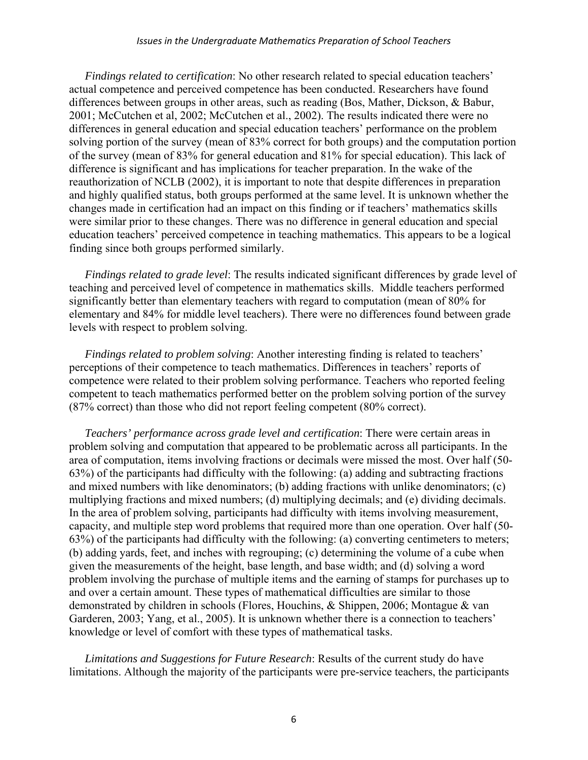*Findings related to certification*: No other research related to special education teachers' actual competence and perceived competence has been conducted. Researchers have found differences between groups in other areas, such as reading (Bos, Mather, Dickson, & Babur, 2001; McCutchen et al, 2002; McCutchen et al., 2002). The results indicated there were no differences in general education and special education teachers' performance on the problem solving portion of the survey (mean of 83% correct for both groups) and the computation portion of the survey (mean of 83% for general education and 81% for special education). This lack of difference is significant and has implications for teacher preparation. In the wake of the reauthorization of NCLB (2002), it is important to note that despite differences in preparation and highly qualified status, both groups performed at the same level. It is unknown whether the changes made in certification had an impact on this finding or if teachers' mathematics skills were similar prior to these changes. There was no difference in general education and special education teachers' perceived competence in teaching mathematics. This appears to be a logical finding since both groups performed similarly.

*Findings related to grade level*: The results indicated significant differences by grade level of teaching and perceived level of competence in mathematics skills. Middle teachers performed significantly better than elementary teachers with regard to computation (mean of 80% for elementary and 84% for middle level teachers). There were no differences found between grade levels with respect to problem solving.

*Findings related to problem solving*: Another interesting finding is related to teachers' perceptions of their competence to teach mathematics. Differences in teachers' reports of competence were related to their problem solving performance. Teachers who reported feeling competent to teach mathematics performed better on the problem solving portion of the survey (87% correct) than those who did not report feeling competent (80% correct).

*Teachers' performance across grade level and certification*: There were certain areas in problem solving and computation that appeared to be problematic across all participants. In the area of computation, items involving fractions or decimals were missed the most. Over half (50- 63%) of the participants had difficulty with the following: (a) adding and subtracting fractions and mixed numbers with like denominators; (b) adding fractions with unlike denominators; (c) multiplying fractions and mixed numbers; (d) multiplying decimals; and (e) dividing decimals. In the area of problem solving, participants had difficulty with items involving measurement, capacity, and multiple step word problems that required more than one operation. Over half (50- 63%) of the participants had difficulty with the following: (a) converting centimeters to meters; (b) adding yards, feet, and inches with regrouping; (c) determining the volume of a cube when given the measurements of the height, base length, and base width; and (d) solving a word problem involving the purchase of multiple items and the earning of stamps for purchases up to and over a certain amount. These types of mathematical difficulties are similar to those demonstrated by children in schools (Flores, Houchins, & Shippen, 2006; Montague & van Garderen, 2003; Yang, et al., 2005). It is unknown whether there is a connection to teachers' knowledge or level of comfort with these types of mathematical tasks.

*Limitations and Suggestions for Future Research*: Results of the current study do have limitations. Although the majority of the participants were pre-service teachers, the participants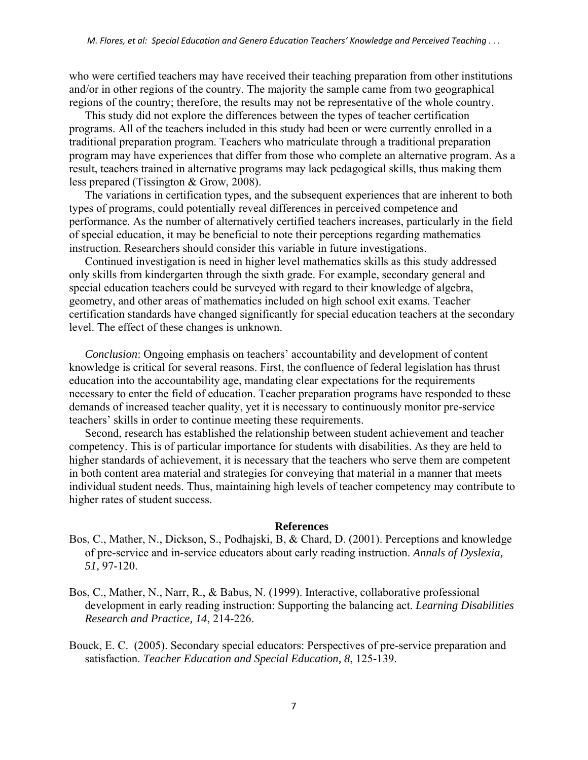who were certified teachers may have received their teaching preparation from other institutions and/or in other regions of the country. The majority the sample came from two geographical regions of the country; therefore, the results may not be representative of the whole country.

This study did not explore the differences between the types of teacher certification programs. All of the teachers included in this study had been or were currently enrolled in a traditional preparation program. Teachers who matriculate through a traditional preparation program may have experiences that differ from those who complete an alternative program. As a result, teachers trained in alternative programs may lack pedagogical skills, thus making them less prepared (Tissington & Grow, 2008).

The variations in certification types, and the subsequent experiences that are inherent to both types of programs, could potentially reveal differences in perceived competence and performance. As the number of alternatively certified teachers increases, particularly in the field of special education, it may be beneficial to note their perceptions regarding mathematics instruction. Researchers should consider this variable in future investigations.

Continued investigation is need in higher level mathematics skills as this study addressed only skills from kindergarten through the sixth grade. For example, secondary general and special education teachers could be surveyed with regard to their knowledge of algebra, geometry, and other areas of mathematics included on high school exit exams. Teacher certification standards have changed significantly for special education teachers at the secondary level. The effect of these changes is unknown.

*Conclusion*: Ongoing emphasis on teachers' accountability and development of content knowledge is critical for several reasons. First, the confluence of federal legislation has thrust education into the accountability age, mandating clear expectations for the requirements necessary to enter the field of education. Teacher preparation programs have responded to these demands of increased teacher quality, yet it is necessary to continuously monitor pre-service teachers' skills in order to continue meeting these requirements.

Second, research has established the relationship between student achievement and teacher competency. This is of particular importance for students with disabilities. As they are held to higher standards of achievement, it is necessary that the teachers who serve them are competent in both content area material and strategies for conveying that material in a manner that meets individual student needs. Thus, maintaining high levels of teacher competency may contribute to higher rates of student success.

## **References**

- Bos, C., Mather, N., Dickson, S., Podhajski, B, & Chard, D. (2001). Perceptions and knowledge of pre-service and in-service educators about early reading instruction. *Annals of Dyslexia, 51,* 97-120.
- Bos, C., Mather, N., Narr, R., & Babus, N. (1999). Interactive, collaborative professional development in early reading instruction: Supporting the balancing act. *Learning Disabilities Research and Practice, 14*, 214-226.
- Bouck, E. C. (2005). Secondary special educators: Perspectives of pre-service preparation and satisfaction. *Teacher Education and Special Education, 8*, 125-139.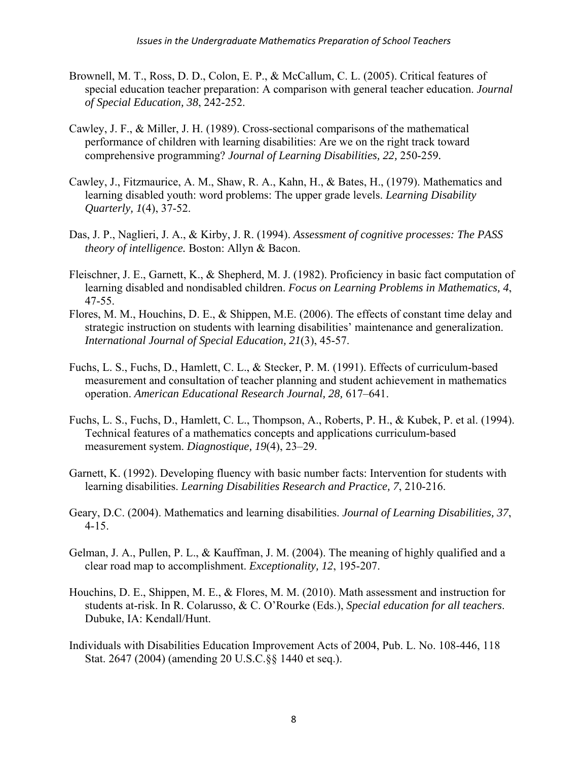- Brownell, M. T., Ross, D. D., Colon, E. P., & McCallum, C. L. (2005). Critical features of special education teacher preparation: A comparison with general teacher education. *Journal of Special Education, 38*, 242-252.
- Cawley, J. F., & Miller, J. H. (1989). Cross-sectional comparisons of the mathematical performance of children with learning disabilities: Are we on the right track toward comprehensive programming? *Journal of Learning Disabilities, 22,* 250-259*.*
- Cawley, J., Fitzmaurice, A. M., Shaw, R. A., Kahn, H., & Bates, H., (1979). Mathematics and learning disabled youth: word problems: The upper grade levels. *Learning Disability Quarterly, 1*(4), 37-52.
- Das, J. P., Naglieri, J. A., & Kirby, J. R. (1994). *Assessment of cognitive processes: The PASS theory of intelligence.* Boston: Allyn & Bacon.
- Fleischner, J. E., Garnett, K., & Shepherd, M. J. (1982). Proficiency in basic fact computation of learning disabled and nondisabled children. *Focus on Learning Problems in Mathematics, 4*, 47-55.
- Flores, M. M., Houchins, D. E., & Shippen, M.E. (2006). The effects of constant time delay and strategic instruction on students with learning disabilities' maintenance and generalization. *International Journal of Special Education, 21*(3), 45-57.
- Fuchs, L. S., Fuchs, D., Hamlett, C. L., & Stecker, P. M. (1991). Effects of curriculum-based measurement and consultation of teacher planning and student achievement in mathematics operation. *American Educational Research Journal, 28,* 617–641.
- Fuchs, L. S., Fuchs, D., Hamlett, C. L., Thompson, A., Roberts, P. H., & Kubek, P. et al. (1994). Technical features of a mathematics concepts and applications curriculum-based measurement system. *Diagnostique, 19*(4), 23–29.
- Garnett, K. (1992). Developing fluency with basic number facts: Intervention for students with learning disabilities. *Learning Disabilities Research and Practice, 7*, 210-216.
- Geary, D.C. (2004). Mathematics and learning disabilities. *Journal of Learning Disabilities, 37*, 4-15.
- Gelman, J. A., Pullen, P. L., & Kauffman, J. M. (2004). The meaning of highly qualified and a clear road map to accomplishment. *Exceptionality, 12*, 195-207.
- Houchins, D. E., Shippen, M. E., & Flores, M. M. (2010). Math assessment and instruction for students at-risk. In R. Colarusso, & C. O'Rourke (Eds.), *Special education for all teachers*. Dubuke, IA: Kendall/Hunt.
- Individuals with Disabilities Education Improvement Acts of 2004, Pub. L. No. 108-446, 118 Stat. 2647 (2004) (amending 20 U.S.C.§§ 1440 et seq.).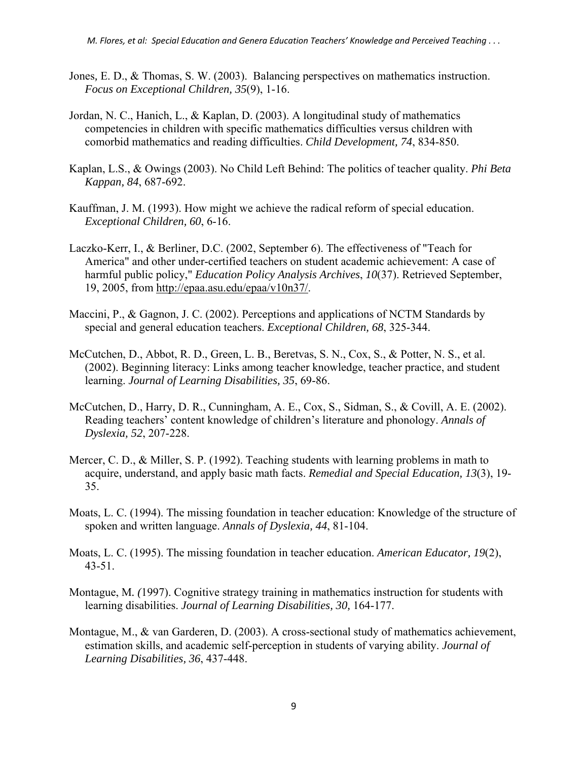- Jones*,* E. D., & Thomas, S. W. (2003). Balancing perspectives on mathematics instruction. *Focus on Exceptional Children, 35*(9), 1-16.
- Jordan, N. C., Hanich, L., & Kaplan, D. (2003). A longitudinal study of mathematics competencies in children with specific mathematics difficulties versus children with comorbid mathematics and reading difficulties. *Child Development, 74*, 834-850.
- Kaplan, L.S., & Owings (2003). No Child Left Behind: The politics of teacher quality. *Phi Beta Kappan, 84*, 687-692.
- Kauffman, J. M. (1993). How might we achieve the radical reform of special education. *Exceptional Children, 60*, 6-16.
- Laczko-Kerr, I., & Berliner, D.C. (2002, September 6). The effectiveness of "Teach for America" and other under-certified teachers on student academic achievement: A case of harmful public policy," *Education Policy Analysis Archives*, *10*(37). Retrieved September, 19, 2005, from http://epaa.asu.edu/epaa/v10n37/.
- Maccini, P., & Gagnon, J. C. (2002). Perceptions and applications of NCTM Standards by special and general education teachers. *Exceptional Children, 68*, 325-344.
- McCutchen, D., Abbot, R. D., Green, L. B., Beretvas, S. N., Cox, S., & Potter, N. S., et al. (2002). Beginning literacy: Links among teacher knowledge, teacher practice, and student learning. *Journal of Learning Disabilities, 35*, 69-86.
- McCutchen, D., Harry, D. R., Cunningham, A. E., Cox, S., Sidman, S., & Covill, A. E. (2002). Reading teachers' content knowledge of children's literature and phonology. *Annals of Dyslexia, 52*, 207-228.
- Mercer, C. D., & Miller, S. P. (1992). Teaching students with learning problems in math to acquire, understand, and apply basic math facts. *Remedial and Special Education, 13*(3), 19- 35.
- Moats, L. C. (1994). The missing foundation in teacher education: Knowledge of the structure of spoken and written language. *Annals of Dyslexia, 44*, 81-104.
- Moats, L. C. (1995). The missing foundation in teacher education. *American Educator, 19*(2), 43-51.
- Montague, M*. (*1997). Cognitive strategy training in mathematics instruction for students with learning disabilities. *Journal of Learning Disabilities, 30,* 164-177.
- Montague, M., & van Garderen, D. (2003). A cross-sectional study of mathematics achievement, estimation skills, and academic self-perception in students of varying ability. *Journal of Learning Disabilities, 36*, 437-448.